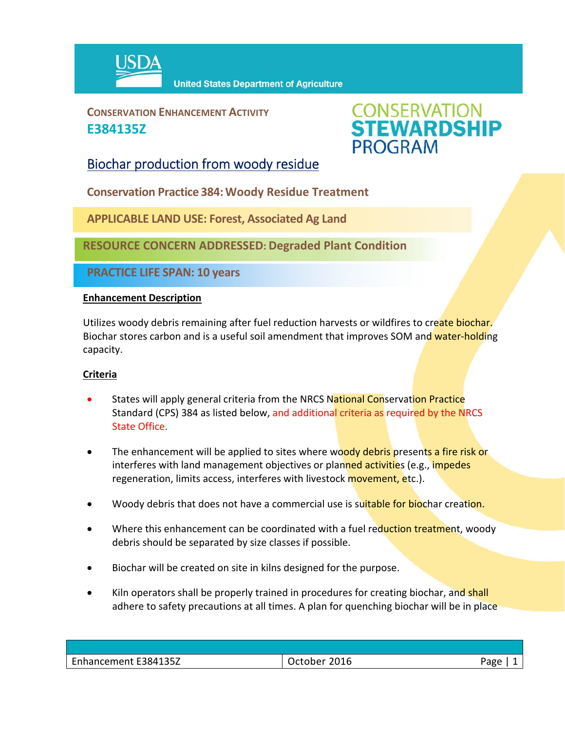

**CONSERVATION ENHANCEMENT ACTIVITY E384135Z**



## Biochar production from woody residue

**Conservation Practice 384:Woody Residue Treatment**

**APPLICABLE LAND USE: Forest, Associated Ag Land**

**RESOURCE CONCERN ADDRESSED: Degraded Plant Condition** 

**PRACTICE LIFE SPAN: 10 years**

### **Enhancement Description**

Utilizes woody debris remaining after fuel reduction harvests or wildfires to create biochar. Biochar stores carbon and is a useful soil amendment that improves SOM and water-holding capacity.

### **Criteria**

- States will apply general criteria from the NRCS National Conservation Practice Standard (CPS) 384 as listed below, and additional criteria as required by the NRCS State Office.
- The enhancement will be applied to sites where woody debris presents a fire risk or interferes with land management objectives or planned activities (e.g., impedes regeneration, limits access, interferes with livestock **movement, e**tc.).
- Woody debris that does not have a commercial use is suitable for biochar creation.
- Where this enhancement can be coordinated with a fuel reduction treatment, woody debris should be separated by size classes if possible.
- Biochar will be created on site in kilns designed for the purpose.
- Kiln operators shall be properly trained in procedures for creating biochar, and shall adhere to safety precautions at all times. A plan for quenching biochar will be in place

| Enhancement E384135Z | 2016<br>October | Раяе<br>ືອ |
|----------------------|-----------------|------------|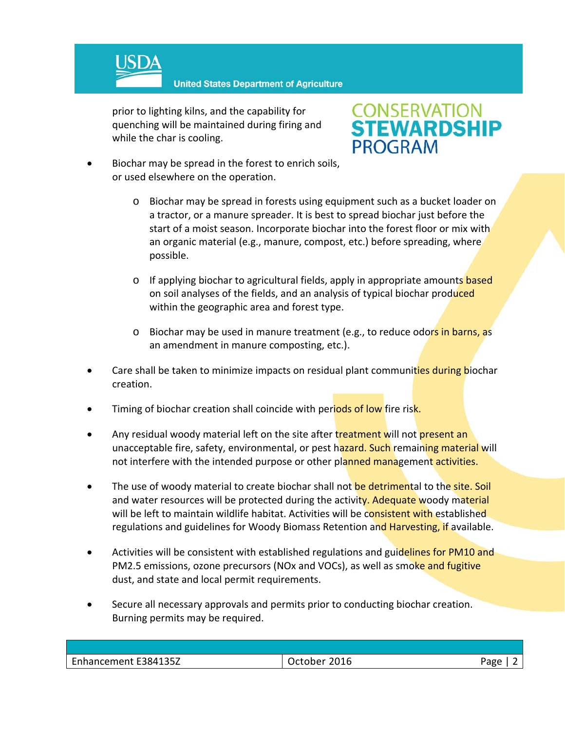

**United States Department of Agriculture** 

prior to lighting kilns, and the capability for quenching will be maintained during firing and while the char is cooling.

# **CONSERVATION<br>STEWARDSHIP PROGRAM**

- Biochar may be spread in the forest to enrich soils, or used elsewhere on the operation.
	- o Biochar may be spread in forests using equipment such as a bucket loader on a tractor, or a manure spreader. It is best to spread biochar just before the start of a moist season. Incorporate biochar into the forest floor or mix with an organic material (e.g., manure, compost, etc.) before spreading, where possible.
	- o If applying biochar to agricultural fields, apply in appropriate amounts based on soil analyses of the fields, and an analysis of typical biochar produced within the geographic area and forest type.
	- o Biochar may be used in manure treatment (e.g., to reduce odors in barns, as an amendment in manure composting, etc.).
- Care shall be taken to minimize impacts on residual plant communities during biochar creation.
- Timing of biochar creation shall coincide with periods of low fire risk.
- Any residual woody material left on the site after treatment will not present an unacceptable fire, safety, environmental, or pest hazard. Such remaining material will not interfere with the intended purpose or other planned management activities.
- The use of woody material to create biochar shall not be detrimental to the site. Soil and water resources will be protected during the activity. Adequate woody material will be left to maintain wildlife habitat. Activities will be consistent with established regulations and guidelines for Woody Biomass Retention and Harvesting, if available.
- Activities will be consistent with established regulations and guidelines for PM10 and PM2.5 emissions, ozone precursors (NOx and VOCs), as well as smoke and fugitive dust, and state and local permit requirements.
- Secure all necessary approvals and permits prior to conducting biochar creation. Burning permits may be required.

| Enhancement E384135Z | October 2016 | Aape |
|----------------------|--------------|------|
|                      |              |      |